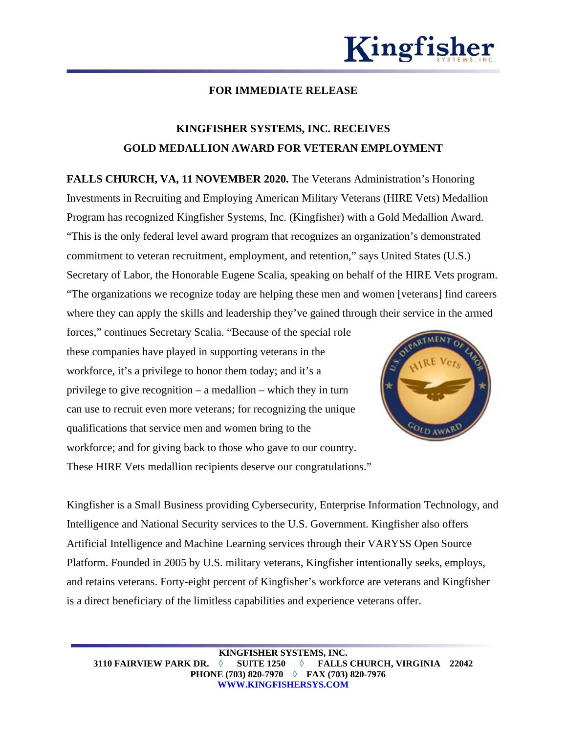

## **FOR IMMEDIATE RELEASE**

## **KINGFISHER SYSTEMS, INC. RECEIVES GOLD MEDALLION AWARD FOR VETERAN EMPLOYMENT**

**FALLS CHURCH, VA, 11 NOVEMBER 2020.** The Veterans Administration's Honoring Investments in Recruiting and Employing American Military Veterans (HIRE Vets) Medallion Program has recognized Kingfisher Systems, Inc. (Kingfisher) with a Gold Medallion Award. "This is the only federal level award program that recognizes an organization's demonstrated commitment to veteran recruitment, employment, and retention," says United States (U.S.) Secretary of Labor, the Honorable Eugene Scalia, speaking on behalf of the HIRE Vets program. "The organizations we recognize today are helping these men and women [veterans] find careers where they can apply the skills and leadership they've gained through their service in the armed

forces," continues Secretary Scalia. "Because of the special role these companies have played in supporting veterans in the workforce, it's a privilege to honor them today; and it's a privilege to give recognition – a medallion – which they in turn can use to recruit even more veterans; for recognizing the unique qualifications that service men and women bring to the workforce; and for giving back to those who gave to our country. These HIRE Vets medallion recipients deserve our congratulations."



Kingfisher is a Small Business providing Cybersecurity, Enterprise Information Technology, and Intelligence and National Security services to the U.S. Government. Kingfisher also offers Artificial Intelligence and Machine Learning services through their VARYSS Open Source Platform. Founded in 2005 by U.S. military veterans, Kingfisher intentionally seeks, employs, and retains veterans. Forty-eight percent of Kingfisher's workforce are veterans and Kingfisher is a direct beneficiary of the limitless capabilities and experience veterans offer.

**KINGFISHER SYSTEMS, INC. 3110 FAIRVIEW PARK DR.** ◊ **SUITE 1250** ◊ **FALLS CHURCH, VIRGINIA 22042 PHONE (703) 820-7970** ◊ **FAX (703) 820-7976 WWW.KINGFISHERSYS.COM**